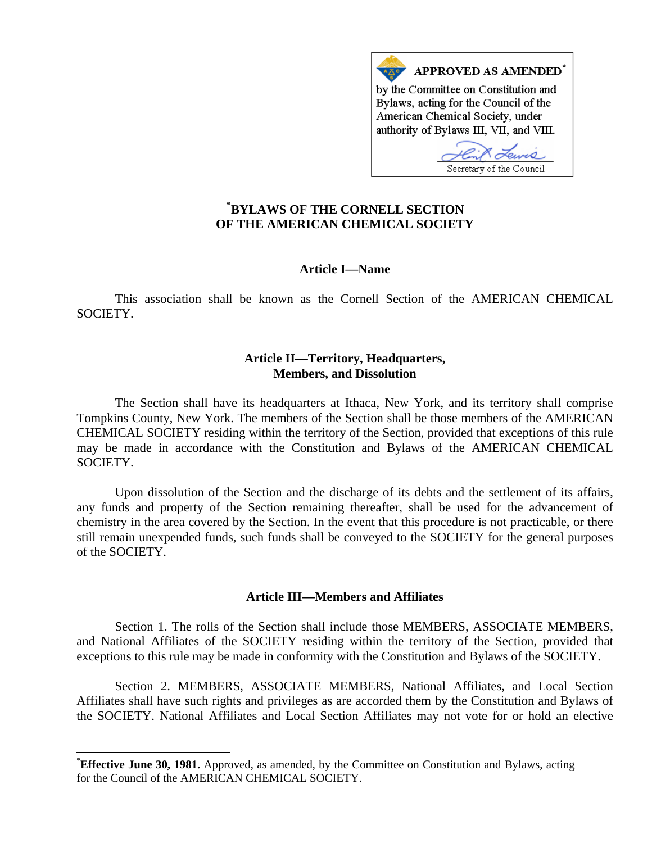

# **\* [BYLAWS OF THE CORNELL SECTION](#page-0-0)  OF THE AMERICAN CHEMICAL SOCIETY**

### **Article I—Name**

This association shall be known as the Cornell Section of the AMERICAN CHEMICAL SOCIETY.

## **Article II—Territory, Headquarters, Members, and Dissolution**

The Section shall have its headquarters at Ithaca, New York, and its territory shall comprise Tompkins County, New York. The members of the Section shall be those members of the AMERICAN CHEMICAL SOCIETY residing within the territory of the Section, provided that exceptions of this rule may be made in accordance with the Constitution and Bylaws of the AMERICAN CHEMICAL SOCIETY.

Upon dissolution of the Section and the discharge of its debts and the settlement of its affairs, any funds and property of the Section remaining thereafter, shall be used for the advancement of chemistry in the area covered by the Section. In the event that this procedure is not practicable, or there still remain unexpended funds, such funds shall be conveyed to the SOCIETY for the general purposes of the SOCIETY.

## **Article III—Members and Affiliates**

Section 1. The rolls of the Section shall include those MEMBERS, ASSOCIATE MEMBERS, and National Affiliates of the SOCIETY residing within the territory of the Section, provided that exceptions to this rule may be made in conformity with the Constitution and Bylaws of the SOCIETY.

Section 2. MEMBERS, ASSOCIATE MEMBERS, National Affiliates, and Local Section Affiliates shall have such rights and privileges as are accorded them by the Constitution and Bylaws of the SOCIETY. National Affiliates and Local Section Affiliates may not vote for or hold an elective

 $\overline{a}$ 

<span id="page-0-0"></span><sup>\*</sup> **Effective June 30, 1981.** Approved, as amended, by the Committee on Constitution and Bylaws, acting for the Council of the AMERICAN CHEMICAL SOCIETY.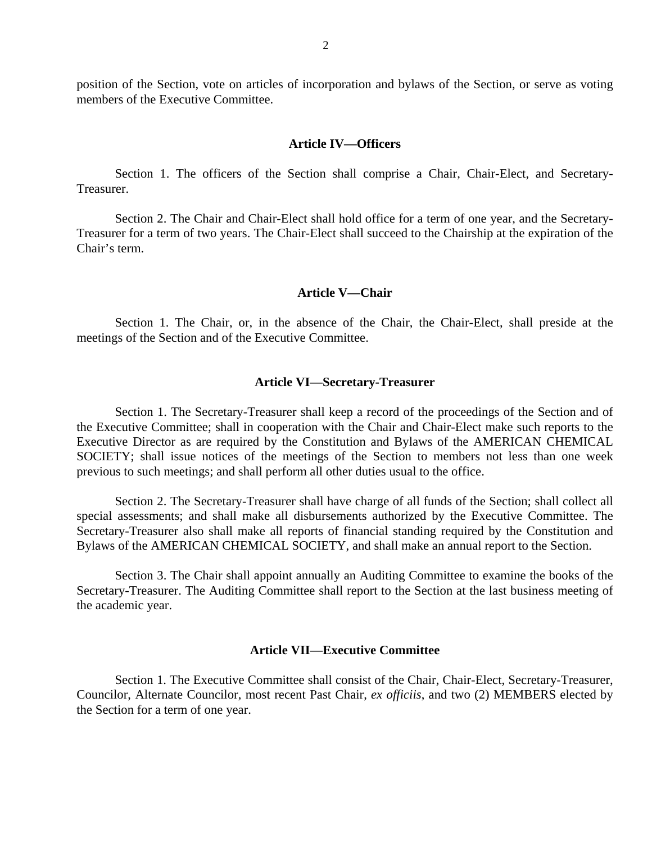position of the Section, vote on articles of incorporation and bylaws of the Section, or serve as voting members of the Executive Committee.

#### **Article IV—Officers**

Section 1. The officers of the Section shall comprise a Chair, Chair-Elect, and Secretary-Treasurer.

Section 2. The Chair and Chair-Elect shall hold office for a term of one year, and the Secretary-Treasurer for a term of two years. The Chair-Elect shall succeed to the Chairship at the expiration of the Chair's term.

### **Article V—Chair**

Section 1. The Chair, or, in the absence of the Chair, the Chair-Elect, shall preside at the meetings of the Section and of the Executive Committee.

### **Article VI—Secretary-Treasurer**

Section 1. The Secretary-Treasurer shall keep a record of the proceedings of the Section and of the Executive Committee; shall in cooperation with the Chair and Chair-Elect make such reports to the Executive Director as are required by the Constitution and Bylaws of the AMERICAN CHEMICAL SOCIETY; shall issue notices of the meetings of the Section to members not less than one week previous to such meetings; and shall perform all other duties usual to the office.

Section 2. The Secretary-Treasurer shall have charge of all funds of the Section; shall collect all special assessments; and shall make all disbursements authorized by the Executive Committee. The Secretary-Treasurer also shall make all reports of financial standing required by the Constitution and Bylaws of the AMERICAN CHEMICAL SOCIETY, and shall make an annual report to the Section.

Section 3. The Chair shall appoint annually an Auditing Committee to examine the books of the Secretary-Treasurer. The Auditing Committee shall report to the Section at the last business meeting of the academic year.

### **Article VII—Executive Committee**

 Section 1. The Executive Committee shall consist of the Chair, Chair-Elect, Secretary-Treasurer, Councilor, Alternate Councilor, most recent Past Chair, *ex officiis*, and two (2) MEMBERS elected by the Section for a term of one year.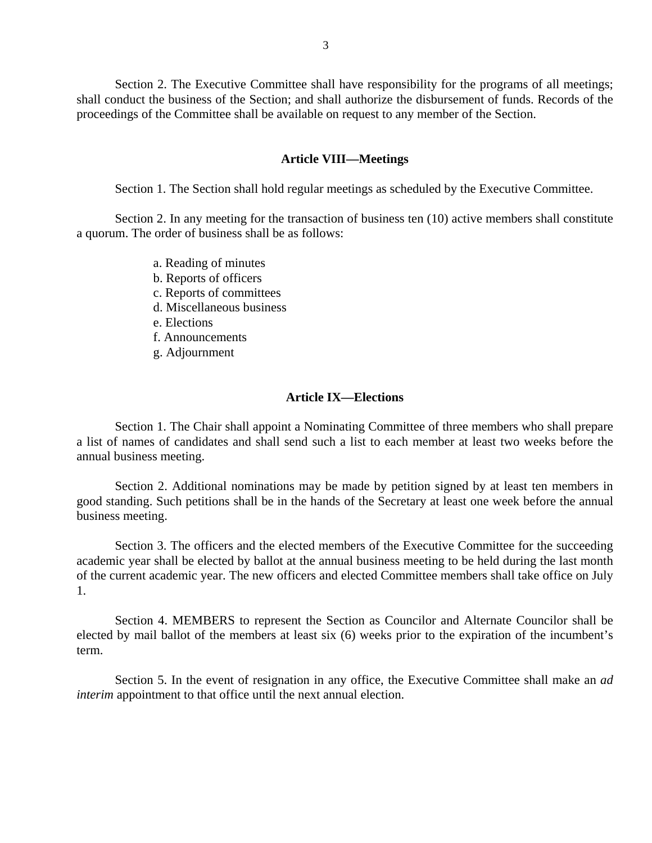Section 2. The Executive Committee shall have responsibility for the programs of all meetings; shall conduct the business of the Section; and shall authorize the disbursement of funds. Records of the proceedings of the Committee shall be available on request to any member of the Section.

#### **Article VIII—Meetings**

Section 1. The Section shall hold regular meetings as scheduled by the Executive Committee.

Section 2. In any meeting for the transaction of business ten (10) active members shall constitute a quorum. The order of business shall be as follows:

- a. Reading of minutes
- b. Reports of officers
- c. Reports of committees
- d. Miscellaneous business
- e. Elections
- f. Announcements
- g. Adjournment

### **Article IX—Elections**

Section 1. The Chair shall appoint a Nominating Committee of three members who shall prepare a list of names of candidates and shall send such a list to each member at least two weeks before the annual business meeting.

Section 2. Additional nominations may be made by petition signed by at least ten members in good standing. Such petitions shall be in the hands of the Secretary at least one week before the annual business meeting.

Section 3. The officers and the elected members of the Executive Committee for the succeeding academic year shall be elected by ballot at the annual business meeting to be held during the last month of the current academic year. The new officers and elected Committee members shall take office on July 1.

Section 4. MEMBERS to represent the Section as Councilor and Alternate Councilor shall be elected by mail ballot of the members at least six (6) weeks prior to the expiration of the incumbent's term.

Section 5. In the event of resignation in any office, the Executive Committee shall make an *ad interim* appointment to that office until the next annual election.